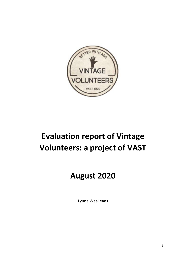

# **Evaluation report of Vintage Volunteers: a project of VAST**

# **August 2020**

Lynne Wealleans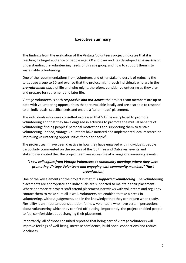### **Executive Summary**

The findings from the evaluation of the Vintage Volunteers project indicates that it is reaching its target audience of people aged 60 and over and has developed an *expertise* in understanding the volunteering needs of this age group and how to support them into sustainable volunteering.

One of the recommendations from volunteers and other stakeholders is of reducing the target age group to 50 and over so that the project might reach individuals who are in the *pre-retirement* stage of life and who might, therefore, consider volunteering as they plan and prepare for retirement and later life.

Vintage Volunteers is both *responsive and pro-active*; the project team members are up to date with volunteering opportunities that are available locally and are also able to respond to an individuals' specific needs and enable a 'tailor made' placement.

The individuals who were consulted expressed that VAST is well placed to promote volunteering and that they have engaged in activities to promote the mutual benefits of volunteering; finding peoples' personal motivations and supporting them to sustain volunteering. Indeed, Vintage Volunteers have initiated and implemented local research on improving volunteering opportunities for older people<sup>1</sup>.

The project team have been creative in how they have engaged with individuals; people particularly commented on the success of the 'Spitfires and Oatcakes' events and stakeholders noted that the project team are accessible at a range of community events.

# *"I saw colleagues from Vintage Volunteers at community meetings where they were promoting Vintage Volunteers and engaging with community members" (Host organisation)*

One of the key elements of the project is that it is *supported volunteering*. The volunteering placements are appropriate and individuals are supported to maintain their placement. Where appropriate project staff attend placement interviews with volunteers and regularly contact them to make sure all is well. Volunteers are enabled to take a break in volunteering, without judgement, and in the knowledge that they can return when ready. Flexibility is an important consideration for new volunteers who have certain perceptions about volunteering which they can find off-putting. Importantly, the project enabled people to feel comfortable about changing their placement.

Importantly, all of those consulted reported that being part of Vintage Volunteers will improve feelings of well-being, increase confidence, build social connections and reduce loneliness.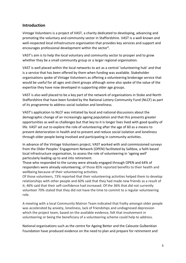# **Introduction**

Vintage Volunteers is a project of VAST, a charity dedicated to developing, advancing and promoting the voluntary and community sector in Staffordshire. VAST is a well-known and well-respected local infrastructure organisation that provides key services and support and encourages professional development within the sector².

VAST's aim is to help the local voluntary and community sector to prosper and to grow whether they be a small community group or a larger regional organisation.

VAST is well placed within the local networks to act as a central 'volunteering hub' and that is a service that has been offered by them when funding was available. Stakeholder organisations spoke of Vintage Volunteers as offering a volunteering brokerage service that would be useful for all ages and client groups although some also spoke of the value of the expertise they have now developed in supporting older age groups.

VAST is also well placed to be a key part of the network of organisations in Stoke and North Staffordshire that have been funded by the National Lottery Community Fund (NLCF) as part of its programme to address social isolation and loneliness.

VAST's application to NLCF was initiated by local and national discussions about the demographic change of an increasingly ageing population and that this presents greater opportunities as well as challenges but that key to it is longer lives lived with good quality of life. VAST set out to explore the role of volunteering after the age of 60 as a means to prevent deterioration in health and to prevent and reduce social isolation and loneliness through older people being involved and participating in community activities.

In advance of the Vintage Volunteers project, VAST worked with and commissioned surveys from the Older Peoples' Engagement Network (OPEN) facilitated by Saltbox, a faith based local infrastructure organisation, to assess the role of volunteering in 'ageing well' particularly leading up to and into retirement.

Those who responded to the survey were already engaged through OPEN and 64% of responders were already volunteering; of those 85% reported benefits to their health and wellbeing because of their volunteering activities.

Of those volunteers, 73% reported that their volunteering activities helped them to develop relationships with other people and 60% said that they had made new friends as a result of it; 46% said that their self-confidence had increased. Of the 36% that did not currently volunteer 70% stated that they did not have the time to commit to a regular volunteering role.

A meeting with a local Community Matron Team indicated that frailty amongst older people was accelerated by anxiety, loneliness, lack of friendships and undiagnosed depression which the project team, based on the available evidence, felt that involvement in volunteering or being the beneficiary of a volunteering scheme could help to address.

National organisations such as the centre for Ageing Better and the Calouste Gulbenkian Foundation have produced evidence on the need to plan and prepare for retirement and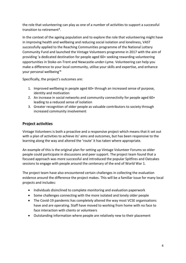the role that volunteering can play as one of a number of activities to support a successful transition to retirement<sup>3</sup>.

In the context of the ageing population and to explore the role that volunteering might have in improving health and wellbeing and reducing social isolation and loneliness, VAST successfully applied to the Reaching Communities programme of the National Lottery Community Fund and launched the Vintage Volunteers programme in 2017 with the aim of providing 'a dedicated destination for people aged 60+ seeking rewarding volunteering opportunities in Stoke-on-Trent and Newcastle-under-Lyme. Volunteering can help you make a difference to your local community, utilise your skills and expertise, and enhance your personal wellbeing<sup>'4</sup>

Specifically, the project's outcomes are:

- 1. Improved wellbeing in people aged 60+ through an increased sense of purpose, identity and motivation
- 2. An increase in social networks and community connectivity for people aged 60+ leading to a reduced sense of isolation
- 3. Greater recognition of older people as valuable contributors to society through increased community involvement

# **Project activities**

Vintage Volunteers is both a proactive and a responsive project which means that it set out with a plan of activities to achieve its' aims and outcomes, but has been responsive to the learning along the way and altered the 'route' it has taken where appropriate.

An example of this is the original plan for setting up Vintage Volunteer Forums so older people could participate in discussions and peer support. The project team found that a focused approach was more successful and introduced the popular Spitfires and Oatcakes sessions to engage with people around the centenary of the end of World War 1.

The project team have also encountered certain challenges in collecting the evaluation evidence around the difference the project makes. This will be a familiar issue for many local projects and includes:

- Individuals disinclined to complete monitoring and evaluation paperwork
- Some challenges connecting with the more isolated and lonely older people
- The Covid-19 pandemic has completely altered the way most VCSE organisations have and are operating. Staff have moved to working from home with no face to face interaction with clients or volunteers
- Outstanding information where people are relatively new to their placement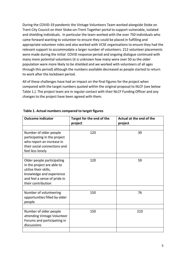During the COVID-19 pandemic the Vintage Volunteers Team worked alongside Stoke on Trent City Council on their Stoke-on-Trent Together portal to support vulnerable, isolated and shielding individuals. In particular the team worked with the over 750 individuals who came forward wanting to volunteer to ensure they could be placed in fulfilling and appropriate volunteer roles and also worked with VCSE organisations to ensure they had the relevant support to accommodate a larger number of volunteers. 212 volunteer placements were made during the initial COVID response period and ongoing dialogue continued with many more potential volunteers (it is unknown how many were over 50 as the older population were more likely to be shielded and we worked with volunteers of all ages through this period) although the numbers available decreased as people started to return to work after the lockdown period.

All of these challenges have had an impact on the final figures for the project when compared with the target numbers quoted within the original proposal to NLCF (see below Table 1.). The project team are in regular contact with their NLCF Funding Officer and any changes to the project have been agreed with them.

| <b>Outcome indicator</b>                                                                                                                                            | Target for the end of the<br>project | Actual at the end of the<br>project |
|---------------------------------------------------------------------------------------------------------------------------------------------------------------------|--------------------------------------|-------------------------------------|
|                                                                                                                                                                     |                                      |                                     |
| Number of older people<br>participating in the project<br>who report an increase in<br>their social connections and<br>feel less lonely                             | 120                                  | 39                                  |
|                                                                                                                                                                     |                                      |                                     |
| Older people participating<br>in the project are able to<br>utilise their skills,<br>knowledge and experience<br>and feel a sense of pride in<br>their contribution | 120                                  | 59                                  |
|                                                                                                                                                                     |                                      |                                     |
| Number of volunteering<br>opportunities filled by older<br>people                                                                                                   | 150                                  | 76                                  |
|                                                                                                                                                                     |                                      |                                     |
| Number of older people<br>attending Vintage Volunteer<br>Forums and participating in<br>discussions                                                                 | 150                                  | 210                                 |
|                                                                                                                                                                     |                                      |                                     |

#### **Table 1. Actual numbers compared to target figures**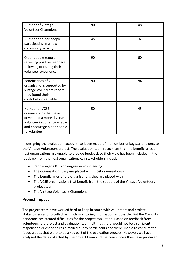| Number of Vintage                         | 90 | 48 |
|-------------------------------------------|----|----|
| <b>Volunteer Champions</b>                |    |    |
| Number of older people                    | 45 | 6  |
| participating in a new                    |    |    |
| community activity                        |    |    |
|                                           |    |    |
| Older people report                       | 90 | 60 |
| receiving positive feedback               |    |    |
| following or during their                 |    |    |
| volunteer experience                      |    |    |
|                                           |    |    |
| <b>Beneficiaries of VCSE</b>              | 90 | 84 |
| organisations supported by                |    |    |
| Vintage Volunteers report                 |    |    |
| they found their<br>contribution valuable |    |    |
|                                           |    |    |
| Number of VCSE                            | 50 | 45 |
| organisations that have                   |    |    |
| developed a more diverse                  |    |    |
| volunteering offer to enable              |    |    |
| and encourage older people                |    |    |
| to volunteer                              |    |    |

In designing the evaluation, account has been made of the number of key stakeholders to the Vintage Volunteers project. The evaluation team recognises that the beneficiaries of host organisations are unable to provide feedback so their view has been included in the feedback from the host organisation. Key stakeholders include:

- People aged 60+ who engage in volunteering
- The organisations they are placed with (host organisations)
- The beneficiaries of the organisations they are placed with
- The VCSE organisations that benefit from the support of the Vintage Volunteers project team
- The Vintage Volunteers Champions

# **Project Impact**

The project team have worked hard to keep in touch with volunteers and project stakeholders and to collect as much monitoring information as possible. But the Covid-19 pandemic has created difficulties for the project evaluation. Based on feedback from volunteers, the project and evaluation team felt that there would not be a sufficient response to questionnaires e mailed out to participants and were unable to conduct the focus groups that were to be a key part of the evaluation process. However, we have analysed the data collected by the project team and the case stories they have produced.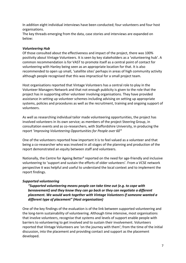In addition eight individual interviews have been conducted; four volunteers and four host organisations.

The key threads emerging from the data, case stories and interviews are expanded on below:

#### *Volunteering Hub*

Of those consulted about the effectiveness and impact of the project, there was 100% positivity about Vintage Volunteers. It is seen by key stakeholders as a 'volunteering hub'. A common recommendation is for VAST to promote itself as a central point of contact for volunteering with Hanley being seen as an appropriate location for that. It is also recommended to open up small, 'satellite sites' perhaps in areas of high community activity although people recognised that this was impractical for a small project team.

Host organisations reported that Vintage Volunteers has a central role to play in the Volunteer Managers Network and that not enough publicity is given to the role that the project has in supporting other volunteer involving organisations. They have provided assistance in setting up volunteer schemes including advising on setting up appropriate systems, policies and procedures as well as the recruitment, training and ongoing support of volunteers.

As well as researching individual tailor made volunteering opportunities, the project has involved volunteers in its own service; as members of the project Steering Group, in consultation events and as co-researchers, with Staffordshire University, in producing the report '*Improving Volunteering Opportunities for People over 60*<sup>'1</sup>

One of the volunteers reported how important it is to feel valued as a volunteer and that being a co-researcher who was involved in all stages of the planning and production of the report demonstrated an equity between staff and volunteers.

Nationally, the Centre for Ageing Better<sup>5</sup> reported on the need for age-friendly and inclusive volunteering to 'support and sustain the efforts of older volunteers'. From a VCSE network perspective it was helpful and useful to understand the local context and to implement the report findings.

#### *Supported volunteering*

*"Supported volunteering means people can take time out (e.g. to cope with bereavement) and they know they can go back or they can negotiate a different placement. We would work together with Vintage Volunteers if someone wanted a different type of placement" (Host organisation)*

One of the key findings of the evaluation is of the link between supported volunteering and the long-term sustainability of volunteering. Although time intensive, most organisations that involve volunteers, recognise that systems and levels of support enable people with barriers to volunteering to get involved and to sustain their involvement. Volunteers reported that Vintage Volunteers are 'on the journey with them'; from the time of the initial discussion, into the placement and providing contact and support as the placement developed.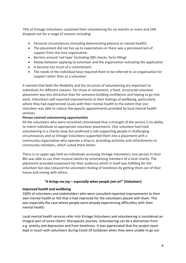76% of Vintage Volunteers sustained their volunteering for six months or more and 24% dropped out for a range of reasons including:

- Personal circumstances (including deteriorating physical or mental health)
- The placement did not live up to expectations or there was a perceived lack of support from the host organisation
- Barriers around 'red tape' (including DBS checks, form filling)
- Delays between applying to volunteer and the organisation activating the application
- It became too much of a commitment
- The needs of the individual have required them to be referred to an organisation for support rather than as a volunteer

It seemed that both the flexibility and the structure of volunteering are important to individuals for different reasons. For those in retirement, a fixed, structured volunteer placement was less attractive than for someone building confidence and hoping to go into work. Volunteers self-reported improvements in their feelings of wellbeing, particularly where they had experienced issues with their mental health to the extent that one volunteer was able to reduce therapeutic appointments provided by local mental health services.

#### *Person centred volunteering opportunities*

All the volunteers who were consulted commented that a strength of the service is its ability to match individuals to appropriate volunteer placements. One volunteer had tried volunteering in a charity shop but preferred a role supporting people in challenging circumstances and so Vintage Volunteers supported them into a placement with a community organisation who operate a drop in, providing activities and refreshments to community members, which suited them better.

There is no upper age limit on individuals accessing Vintage Volunteers; one person in their 80s was able to use their musical talents by entertaining members of a local charity. The placement provided enjoyment for their audience which in itself was fulfilling for the volunteer but also reduced the volunteers feeling of loneliness by getting them out of their house and mixing with others.

#### *"It brings me joy – especially when people join in!" (Volunteer)*

#### *Improved health and wellbeing*

100% of volunteers and stakeholders who were consulted reported improvements to their own mental health or felt that it had improved for the volunteers placed with them. This was especially the case where people were already experiencing difficulties with their mental health.

Local mental health services refer into Vintage Volunteers and volunteering is considered an integral part of some clients' therapeutic journey. Volunteering can be a distraction from e.g. anxiety and depression and from loneliness. It was appreciated that the project team kept in touch with volunteers during Covid-19 lockdown when they were unable to go out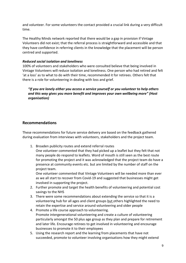and volunteer. For some volunteers the contact provided a crucial link during a very difficult time.

The Healthy Minds network reported that there would be a gap in provision if Vintage Volunteers did not exist; that the referral process is straightforward and accessible and that they have confidence in referring clients in the knowledge that the placement will be person centred and supported.

#### *Reduced social isolation and loneliness*

100% of volunteers and stakeholders who were consulted believe that being involved in Vintage Volunteers will reduce isolation and loneliness. One person who had retired and felt 'at a loss' as to what to do with their time, recommended it for retirees. Others felt that there is a role for volunteering in dealing with loss and grief.

*"If you are lonely either you access a service yourself or you volunteer to help others and this way gives you more benefit and improves your own wellbeing more" (Host organisation)*

# **Recommendations**

These recommendations for future service delivery are based on the feedback gathered during evaluation from interviews with volunteers, stakeholders and the project team.

1. Broaden publicity routes and extend referral routes

One volunteer commented that they had picked up a leaflet but they felt that not many people do respond to leaflets. Word of mouth is still seen as the best route for promoting the project and it was acknowledged that the project team do have a presence at community events etc. but are limited by the number of staff on the project team.

One volunteer commented that Vintage Volunteers will be needed more than ever as we all start to recover from Covid-19 and suggested that businesses might get involved in supporting the project.

- 2. Further promote and target the health benefits of volunteering and potential cost savings to the NHS
- 3. There were some recommendations about extending the service so that it is a volunteering hub for all ages and client groups but others highlighted the need to retain the expertise and service around volunteering and older people
- 4. Promote a life course approach to volunteering. Promote intergenerational volunteering and create a culture of volunteering particularly amongst the 50 plus age group as they plan and prepare for retirement and later life. Encourage retirees to get involved in volunteering and encourage businesses to promote it to their employees
- 5. Using the research report and the learning from placements that have not succeeded, promote to volunteer involving organisations how they might extend